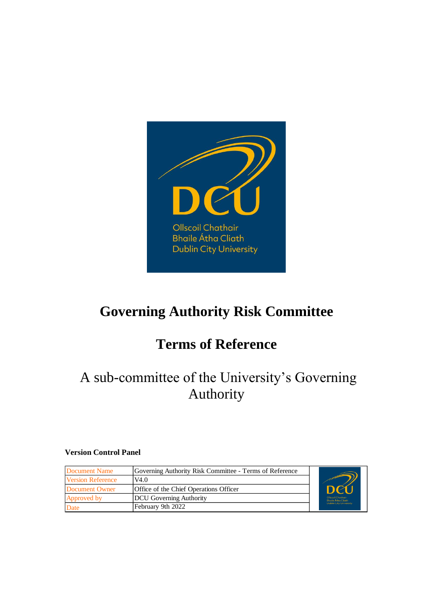

# **Governing Authority Risk Committee**

# **Terms of Reference**

## A sub-committee of the University's Governing Authority

#### **Version Control Panel**

| Document Name            | Governing Authority Risk Committee - Terms of Reference |                                                       |
|--------------------------|---------------------------------------------------------|-------------------------------------------------------|
| <b>Version Reference</b> | V4.0                                                    |                                                       |
| Document Owner           | Office of the Chief Operations Officer                  | $\mathbf{D}$                                          |
| Approved by              | DCU Governing Authority                                 | <b>Ollscoil Chathair</b><br><b>Bhaile Átha Cliath</b> |
| <b>Date</b>              | February 9th 2022                                       | <b>Dublin City University</b>                         |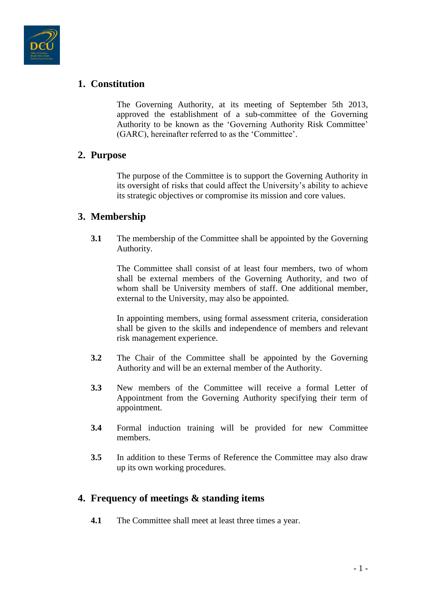

## **1. Constitution**

The Governing Authority, at its meeting of September 5th 2013, approved the establishment of a sub-committee of the Governing Authority to be known as the 'Governing Authority Risk Committee' (GARC), hereinafter referred to as the 'Committee'.

### **2. Purpose**

The purpose of the Committee is to support the Governing Authority in its oversight of risks that could affect the University's ability to achieve its strategic objectives or compromise its mission and core values.

## **3. Membership**

**3.1** The membership of the Committee shall be appointed by the Governing Authority.

The Committee shall consist of at least four members, two of whom shall be external members of the Governing Authority, and two of whom shall be University members of staff. One additional member, external to the University, may also be appointed.

In appointing members, using formal assessment criteria, consideration shall be given to the skills and independence of members and relevant risk management experience.

- **3.2** The Chair of the Committee shall be appointed by the Governing Authority and will be an external member of the Authority.
- **3.3** New members of the Committee will receive a formal Letter of Appointment from the Governing Authority specifying their term of appointment.
- **3.4** Formal induction training will be provided for new Committee members.
- **3.5** In addition to these Terms of Reference the Committee may also draw up its own working procedures.

### **4. Frequency of meetings & standing items**

**4.1** The Committee shall meet at least three times a year.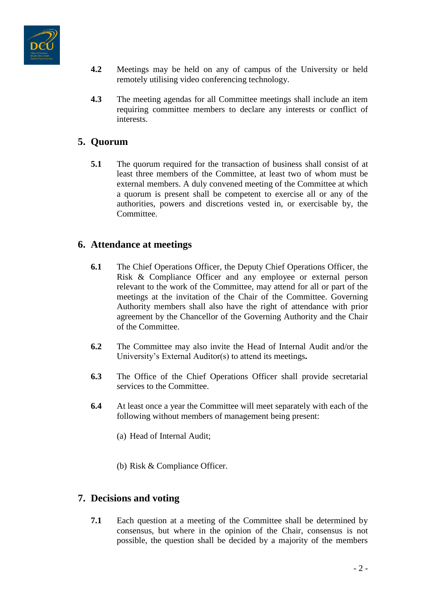

- **4.2** Meetings may be held on any of campus of the University or held remotely utilising video conferencing technology.
- **4.3** The meeting agendas for all Committee meetings shall include an item requiring committee members to declare any interests or conflict of interests.

## **5. Quorum**

**5.1** The quorum required for the transaction of business shall consist of at least three members of the Committee, at least two of whom must be external members. A duly convened meeting of the Committee at which a quorum is present shall be competent to exercise all or any of the authorities, powers and discretions vested in, or exercisable by, the Committee.

## **6. Attendance at meetings**

- **6.1** The Chief Operations Officer, the Deputy Chief Operations Officer, the Risk & Compliance Officer and any employee or external person relevant to the work of the Committee, may attend for all or part of the meetings at the invitation of the Chair of the Committee. Governing Authority members shall also have the right of attendance with prior agreement by the Chancellor of the Governing Authority and the Chair of the Committee.
- **6.2** The Committee may also invite the Head of Internal Audit and/or the University's External Auditor(s) to attend its meetings**.**
- **6.3** The Office of the Chief Operations Officer shall provide secretarial services to the Committee.
- **6.4** At least once a year the Committee will meet separately with each of the following without members of management being present:
	- (a) Head of Internal Audit;
	- (b) Risk & Compliance Officer.

## **7. Decisions and voting**

**7.1** Each question at a meeting of the Committee shall be determined by consensus, but where in the opinion of the Chair, consensus is not possible, the question shall be decided by a majority of the members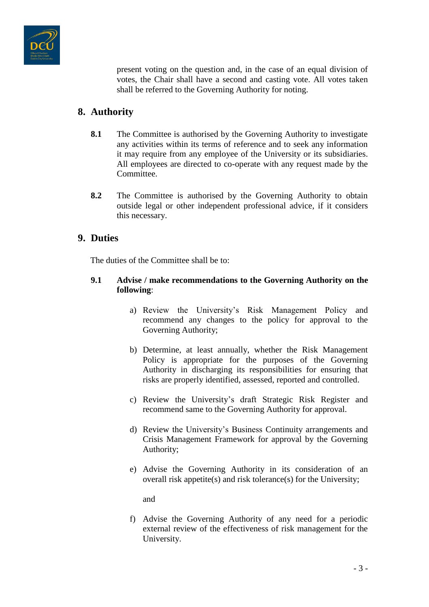

present voting on the question and, in the case of an equal division of votes, the Chair shall have a second and casting vote. All votes taken shall be referred to the Governing Authority for noting.

## **8. Authority**

- **8.1** The Committee is authorised by the Governing Authority to investigate any activities within its terms of reference and to seek any information it may require from any employee of the University or its subsidiaries. All employees are directed to co-operate with any request made by the Committee.
- **8.2** The Committee is authorised by the Governing Authority to obtain outside legal or other independent professional advice, if it considers this necessary.

## **9. Duties**

The duties of the Committee shall be to:

#### **9.1 Advise / make recommendations to the Governing Authority on the following**:

- a) Review the University's Risk Management Policy and recommend any changes to the policy for approval to the Governing Authority;
- b) Determine, at least annually, whether the Risk Management Policy is appropriate for the purposes of the Governing Authority in discharging its responsibilities for ensuring that risks are properly identified, assessed, reported and controlled.
- c) Review the University's draft Strategic Risk Register and recommend same to the Governing Authority for approval.
- d) Review the University's Business Continuity arrangements and Crisis Management Framework for approval by the Governing Authority;
- e) Advise the Governing Authority in its consideration of an overall risk appetite(s) and risk tolerance(s) for the University;

and

f) Advise the Governing Authority of any need for a periodic external review of the effectiveness of risk management for the University.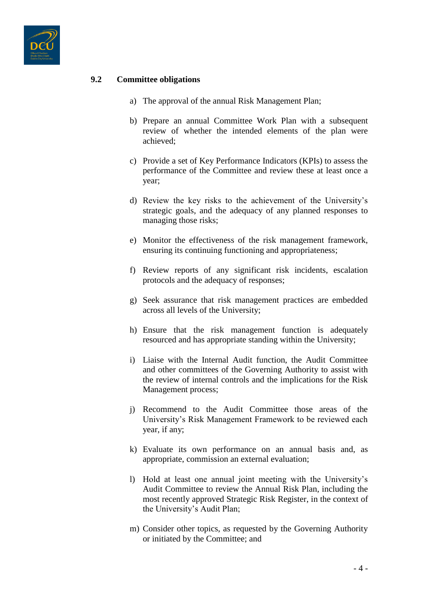

#### **9.2 Committee obligations**

- a) The approval of the annual Risk Management Plan;
- b) Prepare an annual Committee Work Plan with a subsequent review of whether the intended elements of the plan were achieved;
- c) Provide a set of Key Performance Indicators (KPIs) to assess the performance of the Committee and review these at least once a year;
- d) Review the key risks to the achievement of the University's strategic goals, and the adequacy of any planned responses to managing those risks;
- e) Monitor the effectiveness of the risk management framework, ensuring its continuing functioning and appropriateness;
- f) Review reports of any significant risk incidents, escalation protocols and the adequacy of responses;
- g) Seek assurance that risk management practices are embedded across all levels of the University;
- h) Ensure that the risk management function is adequately resourced and has appropriate standing within the University;
- i) Liaise with the Internal Audit function, the Audit Committee and other committees of the Governing Authority to assist with the review of internal controls and the implications for the Risk Management process;
- j) Recommend to the Audit Committee those areas of the University's Risk Management Framework to be reviewed each year, if any;
- k) Evaluate its own performance on an annual basis and, as appropriate, commission an external evaluation;
- l) Hold at least one annual joint meeting with the University's Audit Committee to review the Annual Risk Plan, including the most recently approved Strategic Risk Register, in the context of the University's Audit Plan;
- m) Consider other topics, as requested by the Governing Authority or initiated by the Committee; and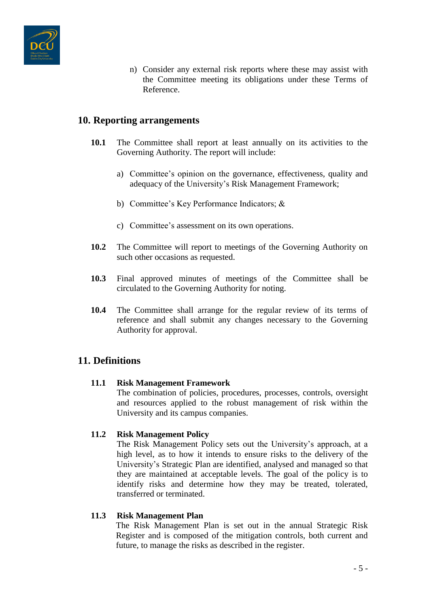

n) Consider any external risk reports where these may assist with the Committee meeting its obligations under these Terms of Reference.

## **10. Reporting arrangements**

- **10.1** The Committee shall report at least annually on its activities to the Governing Authority. The report will include:
	- a) Committee's opinion on the governance, effectiveness, quality and adequacy of the University's Risk Management Framework;
	- b) Committee's Key Performance Indicators; &
	- c) Committee's assessment on its own operations.
- **10.2** The Committee will report to meetings of the Governing Authority on such other occasions as requested.
- **10.3** Final approved minutes of meetings of the Committee shall be circulated to the Governing Authority for noting.
- **10.4** The Committee shall arrange for the regular review of its terms of reference and shall submit any changes necessary to the Governing Authority for approval.

### **11. Definitions**

#### **11.1 Risk Management Framework**

The combination of policies, procedures, processes, controls, oversight and resources applied to the robust management of risk within the University and its campus companies.

#### **11.2 Risk Management Policy**

The Risk Management Policy sets out the University's approach, at a high level, as to how it intends to ensure risks to the delivery of the University's Strategic Plan are identified, analysed and managed so that they are maintained at acceptable levels. The goal of the policy is to identify risks and determine how they may be treated, tolerated, transferred or terminated.

#### **11.3 Risk Management Plan**

The Risk Management Plan is set out in the annual Strategic Risk Register and is composed of the mitigation controls, both current and future, to manage the risks as described in the register.